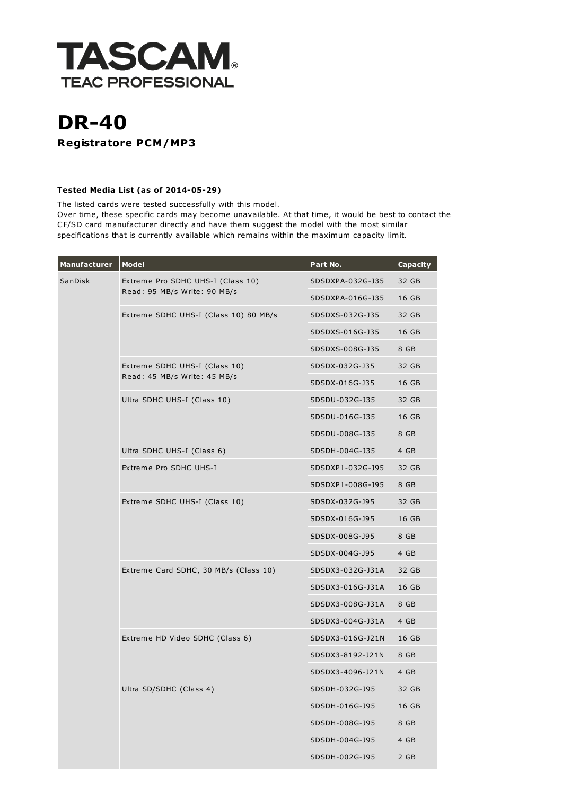

## DR-40 Registratore PCM/MP3

## Tested Media List (as of 2014-05-29)

The listed cards were tested successfully with this model. Over time, these specific cards may become unavailable. At that time, it would be best to contact the CF/SD card manufacturer directly and have them suggest the model with the most similar specifications that is currently available which remains within the maximum capacity limit.

| Manufacturer | <b>Model</b>                                                      | Part No.         | Capacity |
|--------------|-------------------------------------------------------------------|------------------|----------|
| SanDisk      | Extreme Pro SDHC UHS-I (Class 10)<br>Read: 95 MB/s Write: 90 MB/s | SDSDXPA-032G-J35 | 32 GB    |
|              |                                                                   | SDSDXPA-016G-J35 | 16 GB    |
|              | Extreme SDHC UHS-I (Class 10) 80 MB/s                             | SDSDXS-032G-J35  | 32 GB    |
|              |                                                                   | SDSDXS-016G-J35  | 16 GB    |
|              |                                                                   | SDSDXS-008G-J35  | 8 GB     |
|              | Extreme SDHC UHS-I (Class 10)<br>Read: 45 MB/s Write: 45 MB/s     | SDSDX-032G-J35   | 32 GB    |
|              |                                                                   | SDSDX-016G-J35   | 16 GB    |
|              | Ultra SDHC UHS-I (Class 10)                                       | SDSDU-032G-J35   | 32 GB    |
|              |                                                                   | SDSDU-016G-J35   | 16 GB    |
|              |                                                                   | SDSDU-008G-J35   | 8 GB     |
|              | Ultra SDHC UHS-I (Class 6)                                        | SDSDH-004G-J35   | 4 GB     |
|              | Extreme Pro SDHC UHS-I                                            | SDSDXP1-032G-J95 | 32 GB    |
|              |                                                                   | SDSDXP1-008G-J95 | 8 GB     |
|              | Extreme SDHC UHS-I (Class 10)                                     | SDSDX-032G-J95   | 32 GB    |
|              |                                                                   | SDSDX-016G-J95   | 16 GB    |
|              |                                                                   | SDSDX-008G-J95   | 8 GB     |
|              |                                                                   | SDSDX-004G-J95   | 4 GB     |
|              | Extreme Card SDHC, 30 MB/s (Class 10)                             | SDSDX3-032G-J31A | 32 GB    |
|              |                                                                   | SDSDX3-016G-J31A | 16 GB    |
|              |                                                                   | SDSDX3-008G-J31A | 8 GB     |
|              |                                                                   | SDSDX3-004G-J31A | 4 GB     |
|              | Extreme HD Video SDHC (Class 6)                                   | SDSDX3-016G-J21N | 16 GB    |
|              |                                                                   | SDSDX3-8192-J21N | 8 GB     |
|              |                                                                   | SDSDX3-4096-J21N | 4 GB     |
|              | Ultra SD/SDHC (Class 4)                                           | SDSDH-032G-J95   | 32 GB    |
|              |                                                                   | SDSDH-016G-J95   | 16 GB    |
|              |                                                                   | SDSDH-008G-J95   | 8 GB     |
|              |                                                                   | SDSDH-004G-J95   | 4 GB     |
|              |                                                                   | SDSDH-002G-J95   | 2 GB     |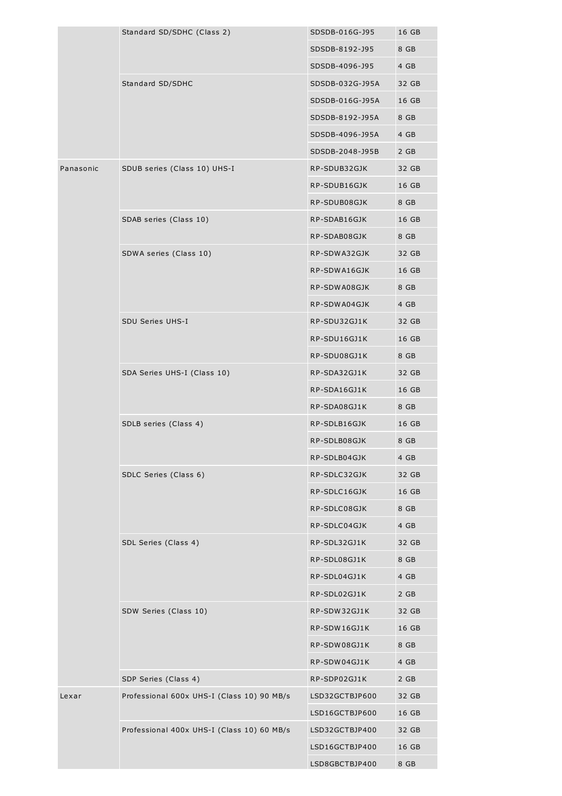|           | Standard SD/SDHC (Class 2)                 | SDSDB-016G-J95  | 16 GB |
|-----------|--------------------------------------------|-----------------|-------|
|           |                                            | SDSDB-8192-J95  | 8 GB  |
|           |                                            | SDSDB-4096-J95  | 4 GB  |
|           |                                            | SDSDB-032G-J95A | 32 GB |
|           | Standard SD/SDHC                           |                 |       |
|           |                                            | SDSDB-016G-J95A | 16 GB |
|           |                                            | SDSDB-8192-J95A | 8 GB  |
|           |                                            | SDSDB-4096-J95A | 4 GB  |
|           |                                            | SDSDB-2048-J95B | 2 GB  |
| Panasonic | SDUB series (Class 10) UHS-I               | RP-SDUB32GJK    | 32 GB |
|           |                                            | RP-SDUB16GJK    | 16 GB |
|           |                                            | RP-SDUB08GJK    | 8 GB  |
|           | SDAB series (Class 10)                     | RP-SDAB16GJK    | 16 GB |
|           |                                            | RP-SDAB08GJK    | 8 GB  |
|           | SDWA series (Class 10)                     | RP-SDWA32GJK    | 32 GB |
|           |                                            | RP-SDWA16GJK    | 16 GB |
|           |                                            | RP-SDWA08GJK    | 8 GB  |
|           |                                            | RP-SDWA04GJK    | 4 GB  |
|           | SDU Series UHS-I                           | RP-SDU32GJ1K    | 32 GB |
|           |                                            | RP-SDU16GJ1K    | 16 GB |
|           |                                            | RP-SDU08GJ1K    | 8 GB  |
|           | SDA Series UHS-I (Class 10)                | RP-SDA32GJ1K    | 32 GB |
|           |                                            | RP-SDA16GJ1K    | 16 GB |
|           |                                            | RP-SDA08GJ1K    | 8 GB  |
|           | SDLB series (Class 4)                      | RP-SDLB16GJK    | 16 GB |
|           |                                            | RP-SDLB08GJK    | 8 GB  |
|           |                                            | RP-SDLB04GJK    | 4 GB  |
|           | SDLC Series (Class 6)                      | RP-SDLC32GJK    | 32 GB |
|           |                                            | RP-SDLC16GJK    | 16 GB |
|           |                                            | RP-SDLC08GJK    | 8 GB  |
|           |                                            | RP-SDLC04GJK    | 4 GB  |
|           | SDL Series (Class 4)                       | RP-SDL32GJ1K    | 32 GB |
|           |                                            | RP-SDL08GJ1K    | 8 GB  |
|           |                                            | RP-SDL04GJ1K    | 4 GB  |
|           |                                            | RP-SDL02GJ1K    | 2 GB  |
|           | SDW Series (Class 10)                      | RP-SDW32GJ1K    | 32 GB |
|           |                                            | RP-SDW16GJ1K    | 16 GB |
|           |                                            | RP-SDW08GJ1K    | 8 GB  |
|           |                                            | RP-SDW04GJ1K    | 4 GB  |
|           | SDP Series (Class 4)                       | RP-SDP02GJ1K    | 2 GB  |
| Lexar     | Professional 600x UHS-I (Class 10) 90 MB/s | LSD32GCTBJP600  | 32 GB |
|           |                                            | LSD16GCTBJP600  | 16 GB |
|           | Professional 400x UHS-I (Class 10) 60 MB/s | LSD32GCTBJP400  | 32 GB |
|           |                                            | LSD16GCTBJP400  | 16 GB |
|           |                                            | LSD8GBCTBJP400  | 8 GB  |
|           |                                            |                 |       |